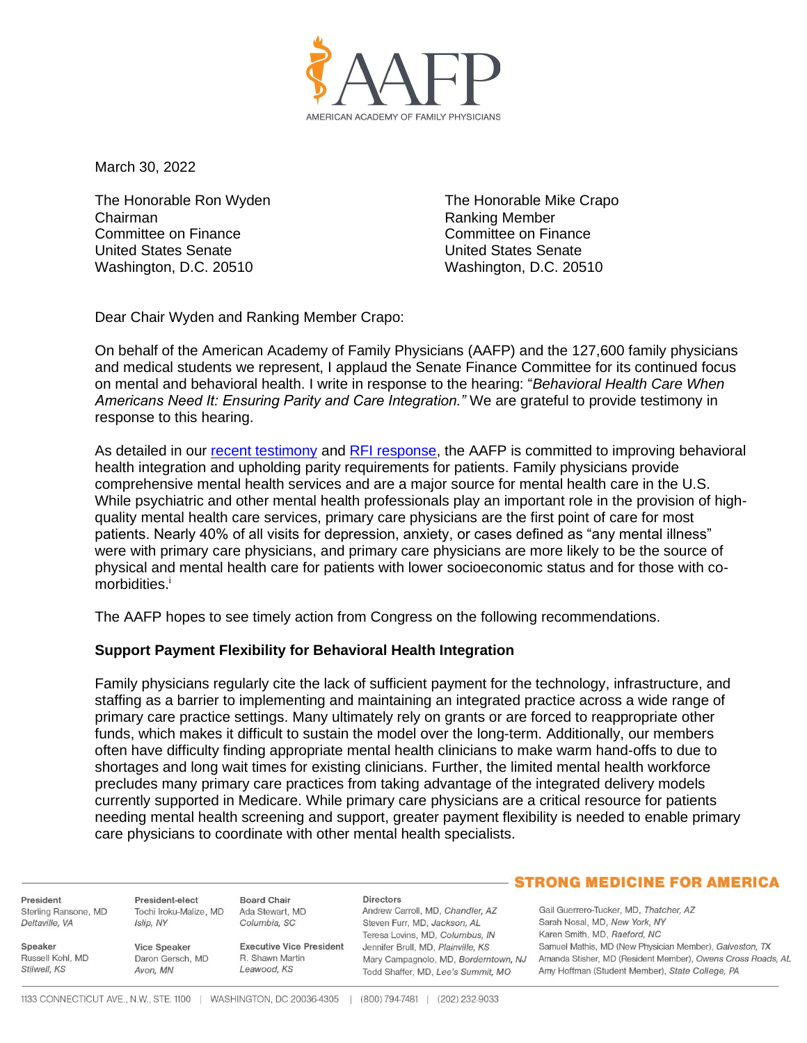

March 30, 2022

The Honorable Ron Wyden Chairman Committee on Finance United States Senate Washington, D.C. 20510

The Honorable Mike Crapo Ranking Member Committee on Finance United States Senate Washington, D.C. 20510

Dear Chair Wyden and Ranking Member Crapo:

On behalf of the American Academy of Family Physicians (AAFP) and the 127,600 family physicians and medical students we represent, I applaud the Senate Finance Committee for its continued focus on mental and behavioral health. I write in response to the hearing: "*Behavioral Health Care When Americans Need It: Ensuring Parity and Care Integration."* We are grateful to provide testimony in response to this hearing.

As detailed in our [recent testimony](https://www.aafp.org/dam/AAFP/documents/advocacy/prevention/behavioral-health/LT-SenateFinCmte-YouthMentalHealth-020822.pdf) and [RFI response,](https://www.aafp.org/dam/AAFP/documents/advocacy/prevention/misc/LT-SenateFinCmte-BHI-111521.pdf) the AAFP is committed to improving behavioral health integration and upholding parity requirements for patients. Family physicians provide comprehensive mental health services and are a major source for mental health care in the U.S. While psychiatric and other mental health professionals play an important role in the provision of highquality mental health care services, primary care physicians are the first point of care for most patients. Nearly 40% of all visits for depression, anxiety, or cases defined as "any mental illness" were with primary care physicians, and primary care physicians are more likely to be the source of physical and mental health care for patients with lower socioeconomic status and for those with comorbidities.<sup>i</sup>

The AAFP hopes to see timely action from Congress on the following recommendations.

## **Support Payment Flexibility for Behavioral Health Integration**

Family physicians regularly cite the lack of sufficient payment for the technology, infrastructure, and staffing as a barrier to implementing and maintaining an integrated practice across a wide range of primary care practice settings. Many ultimately rely on grants or are forced to reappropriate other funds, which makes it difficult to sustain the model over the long-term. Additionally, our members often have difficulty finding appropriate mental health clinicians to make warm hand-offs to due to shortages and long wait times for existing clinicians. Further, the limited mental health workforce precludes many primary care practices from taking advantage of the integrated delivery models currently supported in Medicare. While primary care physicians are a critical resource for patients needing mental health screening and support, greater payment flexibility is needed to enable primary care physicians to coordinate with other mental health specialists.

- STRONG MEDICINE FOR AMERICA **Board Chair Directors** President President-elect Andrew Carroll, MD, Chandler, AZ Gail Guerrero-Tucker, MD, Thatcher, AZ Sterling Ransone, MD Tochi Iroku-Malize, MD Ada Stewart, MD Islip, NY Sarah Nosal, MD, New York, NY Deltaville, VA Steven Furr, MD, Jackson, AL Columbia, SC Karen Smith, MD, Raeford, NC Teresa Lovins, MD, Columbus, IN Speaker Vice Speaker **Executive Vice President** Jennifer Brull, MD, Plainville, KS Samuel Mathis, MD (New Physician Member), Galveston, TX Russell Kohl, MD Daron Gersch, MD R. Shawn Martin Mary Campagnolo, MD, Borderntown, NJ Amanda Stisher, MD (Resident Member), Owens Cross Roads, AL Stilwell, KS Leawood, KS Avon, MN Todd Shaffer, MD, Lee's Summit, MO Amy Hoffman (Student Member), State College, PA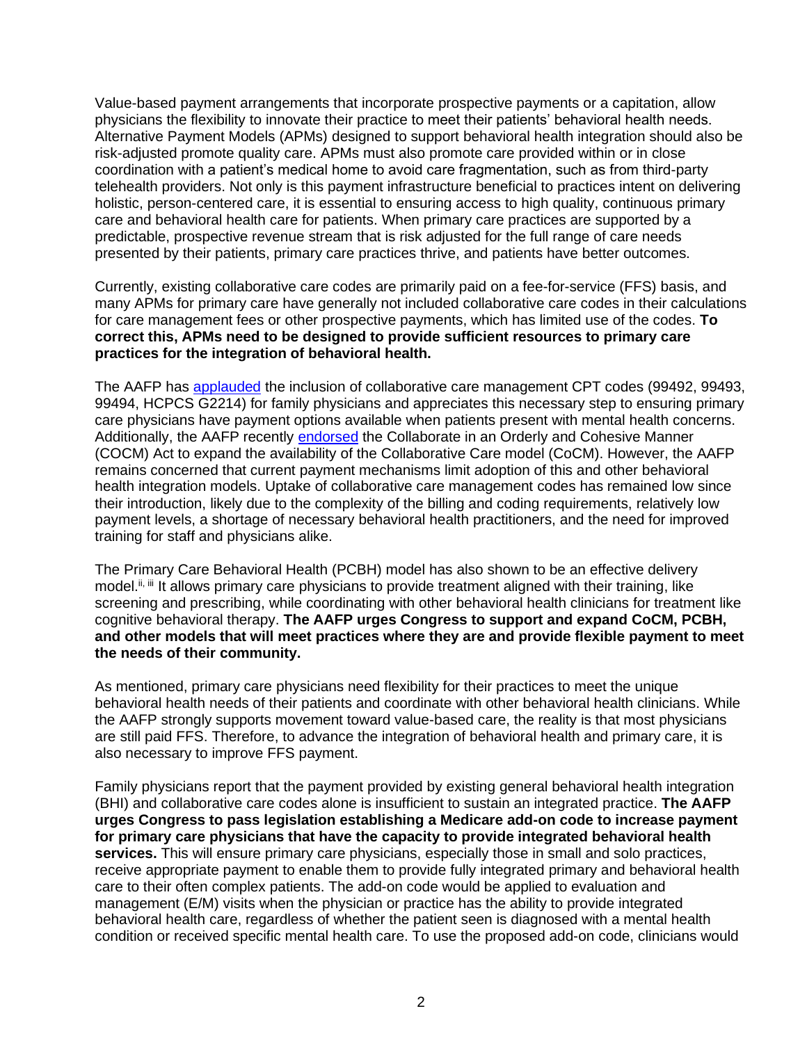Value-based payment arrangements that incorporate prospective payments or a capitation, allow physicians the flexibility to innovate their practice to meet their patients' behavioral health needs. Alternative Payment Models (APMs) designed to support behavioral health integration should also be risk-adjusted promote quality care. APMs must also promote care provided within or in close coordination with a patient's medical home to avoid care fragmentation, such as from third-party telehealth providers. Not only is this payment infrastructure beneficial to practices intent on delivering holistic, person-centered care, it is essential to ensuring access to high quality, continuous primary care and behavioral health care for patients. When primary care practices are supported by a predictable, prospective revenue stream that is risk adjusted for the full range of care needs presented by their patients, primary care practices thrive, and patients have better outcomes.

Currently, existing collaborative care codes are primarily paid on a fee-for-service (FFS) basis, and many APMs for primary care have generally not included collaborative care codes in their calculations for care management fees or other prospective payments, which has limited use of the codes. **To correct this, APMs need to be designed to provide sufficient resources to primary care practices for the integration of behavioral health.**

The AAFP has [applauded](https://www.aafp.org/dam/AAFP/documents/advocacy/payment/medicare/feesched/LT-CMS-MPFS2017-081916.pdf) the inclusion of collaborative care management CPT codes (99492, 99493, 99494, HCPCS G2214) for family physicians and appreciates this necessary step to ensuring primary care physicians have payment options available when patients present with mental health concerns. Additionally, the AAFP recently [endorsed](https://www.aafp.org/dam/AAFP/documents/advocacy/delivery/medhome/LT-Congress-CoCMAct-091021.pdf) the Collaborate in an Orderly and Cohesive Manner (COCM) Act to expand the availability of the Collaborative Care model (CoCM). However, the AAFP remains concerned that current payment mechanisms limit adoption of this and other behavioral health integration models. Uptake of collaborative care management codes has remained low since their introduction, likely due to the complexity of the billing and coding requirements, relatively low payment levels, a shortage of necessary behavioral health practitioners, and the need for improved training for staff and physicians alike.

The Primary Care Behavioral Health (PCBH) model has also shown to be an effective delivery model.<sup>ii, iii</sup> It allows primary care physicians to provide treatment aligned with their training, like screening and prescribing, while coordinating with other behavioral health clinicians for treatment like cognitive behavioral therapy. **The AAFP urges Congress to support and expand CoCM, PCBH, and other models that will meet practices where they are and provide flexible payment to meet the needs of their community.**

As mentioned, primary care physicians need flexibility for their practices to meet the unique behavioral health needs of their patients and coordinate with other behavioral health clinicians. While the AAFP strongly supports movement toward value-based care, the reality is that most physicians are still paid FFS. Therefore, to advance the integration of behavioral health and primary care, it is also necessary to improve FFS payment.

Family physicians report that the payment provided by existing general behavioral health integration (BHI) and collaborative care codes alone is insufficient to sustain an integrated practice. **The AAFP urges Congress to pass legislation establishing a Medicare add-on code to increase payment for primary care physicians that have the capacity to provide integrated behavioral health services.** This will ensure primary care physicians, especially those in small and solo practices, receive appropriate payment to enable them to provide fully integrated primary and behavioral health care to their often complex patients. The add-on code would be applied to evaluation and management (E/M) visits when the physician or practice has the ability to provide integrated behavioral health care, regardless of whether the patient seen is diagnosed with a mental health condition or received specific mental health care. To use the proposed add-on code, clinicians would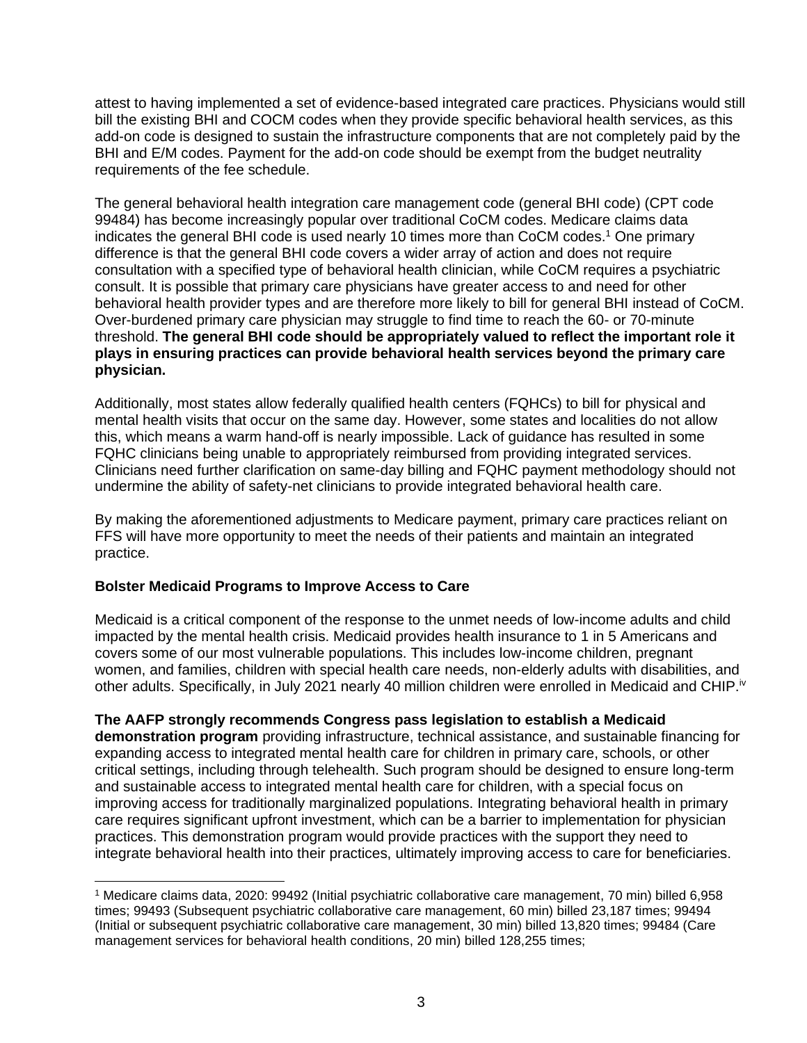attest to having implemented a set of evidence-based integrated care practices. Physicians would still bill the existing BHI and COCM codes when they provide specific behavioral health services, as this add-on code is designed to sustain the infrastructure components that are not completely paid by the BHI and E/M codes. Payment for the add-on code should be exempt from the budget neutrality requirements of the fee schedule.

The general behavioral health integration care management code (general BHI code) (CPT code 99484) has become increasingly popular over traditional CoCM codes. Medicare claims data indicates the general BHI code is used nearly 10 times more than CoCM codes.<sup>1</sup> One primary difference is that the general BHI code covers a wider array of action and does not require consultation with a specified type of behavioral health clinician, while CoCM requires a psychiatric consult. It is possible that primary care physicians have greater access to and need for other behavioral health provider types and are therefore more likely to bill for general BHI instead of CoCM. Over-burdened primary care physician may struggle to find time to reach the 60- or 70-minute threshold. **The general BHI code should be appropriately valued to reflect the important role it plays in ensuring practices can provide behavioral health services beyond the primary care physician.**

Additionally, most states allow federally qualified health centers (FQHCs) to bill for physical and mental health visits that occur on the same day. However, some states and localities do not allow this, which means a warm hand-off is nearly impossible. Lack of guidance has resulted in some FQHC clinicians being unable to appropriately reimbursed from providing integrated services. Clinicians need further clarification on same-day billing and FQHC payment methodology should not undermine the ability of safety-net clinicians to provide integrated behavioral health care.

By making the aforementioned adjustments to Medicare payment, primary care practices reliant on FFS will have more opportunity to meet the needs of their patients and maintain an integrated practice.

## **Bolster Medicaid Programs to Improve Access to Care**

Medicaid is a critical component of the response to the unmet needs of low-income adults and child impacted by the mental health crisis. Medicaid provides health insurance to 1 in 5 Americans and covers some of our most vulnerable populations. This includes low-income children, pregnant women, and families, children with special health care needs, non-elderly adults with disabilities, and other adults. Specifically, in July 2021 nearly 40 million children were enrolled in Medicaid and CHIP.iv

## **The AAFP strongly recommends Congress pass legislation to establish a Medicaid**

**demonstration program** providing infrastructure, technical assistance, and sustainable financing for expanding access to integrated mental health care for children in primary care, schools, or other critical settings, including through telehealth. Such program should be designed to ensure long-term and sustainable access to integrated mental health care for children, with a special focus on improving access for traditionally marginalized populations. Integrating behavioral health in primary care requires significant upfront investment, which can be a barrier to implementation for physician practices. This demonstration program would provide practices with the support they need to integrate behavioral health into their practices, ultimately improving access to care for beneficiaries.

<sup>1</sup> Medicare claims data, 2020: 99492 (Initial psychiatric collaborative care management, 70 min) billed 6,958 times; 99493 (Subsequent psychiatric collaborative care management, 60 min) billed 23,187 times; 99494 (Initial or subsequent psychiatric collaborative care management, 30 min) billed 13,820 times; 99484 (Care management services for behavioral health conditions, 20 min) billed 128,255 times;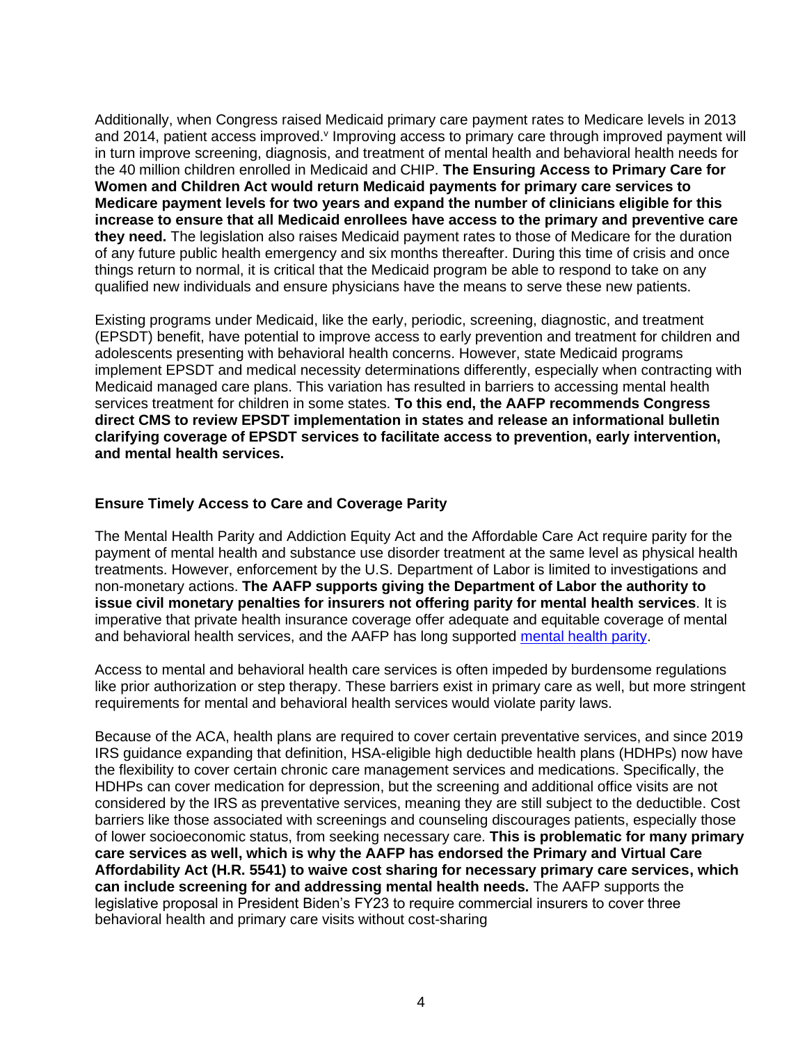Additionally, when Congress raised Medicaid primary care payment rates to Medicare levels in 2013 and 2014, patient access improved. Improving access to primary care through improved payment will in turn improve screening, diagnosis, and treatment of mental health and behavioral health needs for the 40 million children enrolled in Medicaid and CHIP. **The Ensuring Access to Primary Care for Women and Children Act would return Medicaid payments for primary care services to Medicare payment levels for two years and expand the number of clinicians eligible for this increase to ensure that all Medicaid enrollees have access to the primary and preventive care they need.** The legislation also raises Medicaid payment rates to those of Medicare for the duration of any future public health emergency and six months thereafter. During this time of crisis and once things return to normal, it is critical that the Medicaid program be able to respond to take on any qualified new individuals and ensure physicians have the means to serve these new patients.

Existing programs under Medicaid, like the early, periodic, screening, diagnostic, and treatment (EPSDT) benefit, have potential to improve access to early prevention and treatment for children and adolescents presenting with behavioral health concerns. However, state Medicaid programs implement EPSDT and medical necessity determinations differently, especially when contracting with Medicaid managed care plans. This variation has resulted in barriers to accessing mental health services treatment for children in some states. **To this end, the AAFP recommends Congress direct CMS to review EPSDT implementation in states and release an informational bulletin clarifying coverage of EPSDT services to facilitate access to prevention, early intervention, and mental health services.**

## **Ensure Timely Access to Care and Coverage Parity**

The Mental Health Parity and Addiction Equity Act and the Affordable Care Act require parity for the payment of mental health and substance use disorder treatment at the same level as physical health treatments. However, enforcement by the U.S. Department of Labor is limited to investigations and non-monetary actions. **The AAFP supports giving the Department of Labor the authority to issue civil monetary penalties for insurers not offering parity for mental health services**. It is imperative that private health insurance coverage offer adequate and equitable coverage of mental and behavioral health services, and the AAFP has long supported [mental health parity.](https://www.aafp.org/about/policies/all/mental-health-care-parity.html)

Access to mental and behavioral health care services is often impeded by burdensome regulations like prior authorization or step therapy. These barriers exist in primary care as well, but more stringent requirements for mental and behavioral health services would violate parity laws.

Because of the ACA, health plans are required to cover certain preventative services, and since 2019 IRS guidance expanding that definition, HSA-eligible high deductible health plans (HDHPs) now have the flexibility to cover certain chronic care management services and medications. Specifically, the HDHPs can cover medication for depression, but the screening and additional office visits are not considered by the IRS as preventative services, meaning they are still subject to the deductible. Cost barriers like those associated with screenings and counseling discourages patients, especially those of lower socioeconomic status, from seeking necessary care. **This is problematic for many primary care services as well, which is why the AAFP has endorsed the Primary and Virtual Care Affordability Act (H.R. 5541) to waive cost sharing for necessary primary care services, which can include screening for and addressing mental health needs.** The AAFP supports the legislative proposal in President Biden's FY23 to require commercial insurers to cover three behavioral health and primary care visits without cost-sharing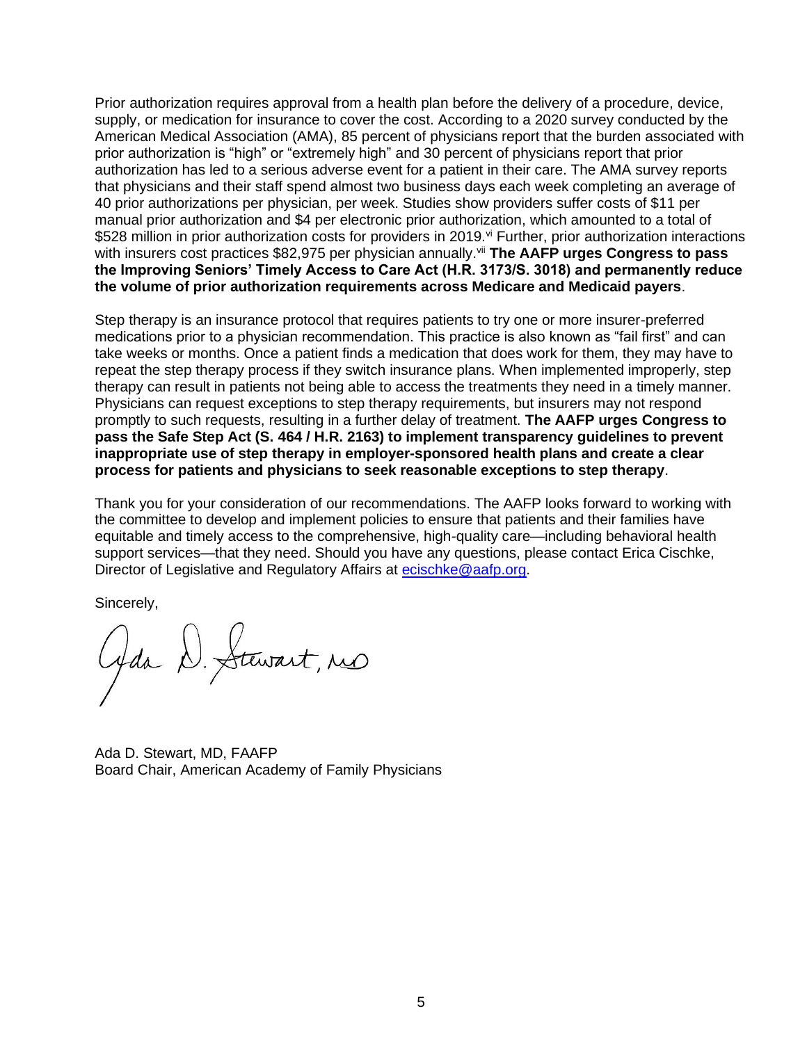Prior authorization requires approval from a health plan before the delivery of a procedure, device, supply, or medication for insurance to cover the cost. According to a 2020 survey conducted by the American Medical Association (AMA), 85 percent of physicians report that the burden associated with prior authorization is "high" or "extremely high" and 30 percent of physicians report that prior authorization has led to a serious adverse event for a patient in their care. The AMA survey reports that physicians and their staff spend almost two business days each week completing an average of 40 prior authorizations per physician, per week. Studies show providers suffer costs of \$11 per manual prior authorization and \$4 per electronic prior authorization, which amounted to a total of \$528 million in prior authorization costs for providers in 2019.<sup>vi</sup> Further, prior authorization interactions with insurers cost practices \$82,975 per physician annually.<sup>vii</sup> The AAFP urges Congress to pass **the Improving Seniors' Timely Access to Care Act (H.R. 3173/S. 3018) and permanently reduce the volume of prior authorization requirements across Medicare and Medicaid payers**.

Step therapy is an insurance protocol that requires patients to try one or more insurer-preferred medications prior to a physician recommendation. This practice is also known as "fail first" and can take weeks or months. Once a patient finds a medication that does work for them, they may have to repeat the step therapy process if they switch insurance plans. When implemented improperly, step therapy can result in patients not being able to access the treatments they need in a timely manner. Physicians can request exceptions to step therapy requirements, but insurers may not respond promptly to such requests, resulting in a further delay of treatment. **The AAFP urges Congress to pass the Safe Step Act (S. 464 / H.R. 2163) to implement transparency guidelines to prevent inappropriate use of step therapy in employer-sponsored health plans and create a clear process for patients and physicians to seek reasonable exceptions to step therapy**.

Thank you for your consideration of our recommendations. The AAFP looks forward to working with the committee to develop and implement policies to ensure that patients and their families have equitable and timely access to the comprehensive, high-quality care—including behavioral health support services—that they need. Should you have any questions, please contact Erica Cischke, Director of Legislative and Regulatory Affairs at [ecischke@aafp.org.](mailto:ecischke@aafp.org)

Sincerely,

Gda D. Stewart, res

Ada D. Stewart, MD, FAAFP Board Chair, American Academy of Family Physicians